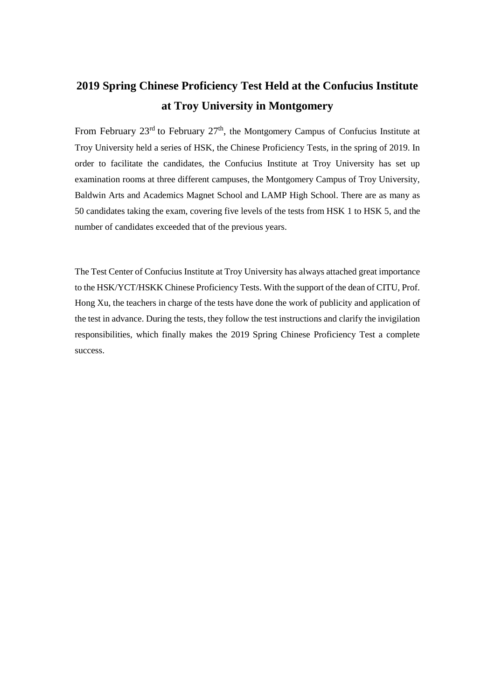## **2019 Spring Chinese Proficiency Test Held at the Confucius Institute at Troy University in Montgomery**

From February  $23^{\text{rd}}$  to February  $27^{\text{th}}$ , the Montgomery Campus of Confucius Institute at Troy University held a series of HSK, the Chinese Proficiency Tests, in the spring of 2019. In order to facilitate the candidates, the Confucius Institute at Troy University has set up examination rooms at three different campuses, the Montgomery Campus of Troy University, Baldwin Arts and Academics Magnet School and LAMP High School. There are as many as 50 candidates taking the exam, covering five levels of the tests from HSK 1 to HSK 5, and the number of candidates exceeded that of the previous years.

The Test Center of Confucius Institute at Troy University has always attached great importance to the HSK/YCT/HSKK Chinese Proficiency Tests. With the support of the dean of CITU, Prof. Hong Xu, the teachers in charge of the tests have done the work of publicity and application of the test in advance. During the tests, they follow the test instructions and clarify the invigilation responsibilities, which finally makes the 2019 Spring Chinese Proficiency Test a complete success.